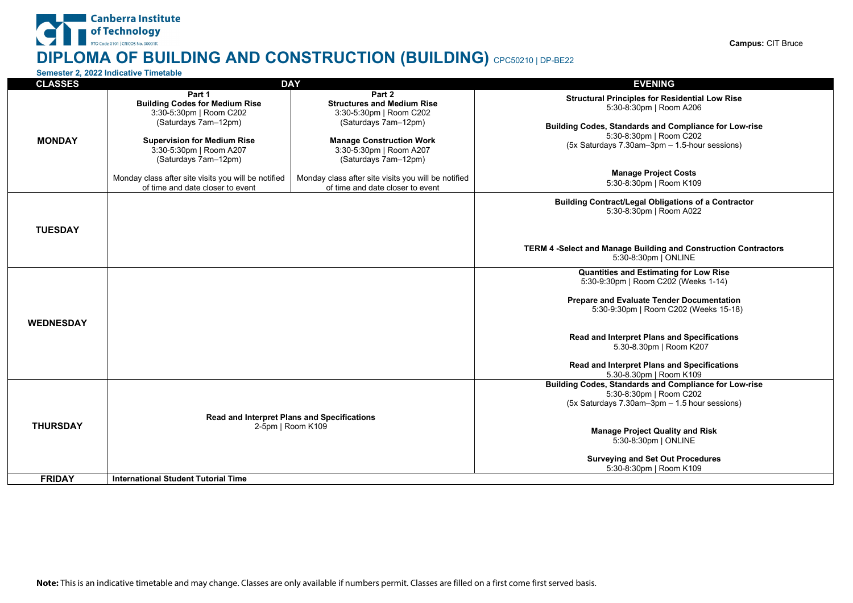#### RTO Code 0101 | CRICOS No. 00001K **Campus:** CIT Bruce **DIPLOMA OF BUILDING AND CONSTRUCTION (BUILDING)** CPC50210 | DP-BE22

## **Semester 2, 2022 Indicative Timetable**

Canberra Institute of Technology

| <b>CLASSES</b>   | <b>DAY</b>                                                                              |                                                                                         | <b>EVENING</b>                                                                   |
|------------------|-----------------------------------------------------------------------------------------|-----------------------------------------------------------------------------------------|----------------------------------------------------------------------------------|
|                  | Part 1                                                                                  | Part 2                                                                                  |                                                                                  |
|                  | <b>Building Codes for Medium Rise</b>                                                   | <b>Structures and Medium Rise</b>                                                       | <b>Structural Principles for Residential Low Rise</b><br>5:30-8:30pm   Room A206 |
|                  | 3:30-5:30pm   Room C202                                                                 | 3:30-5:30pm   Room C202                                                                 |                                                                                  |
|                  | (Saturdays 7am-12pm)                                                                    | (Saturdays 7am-12pm)                                                                    | Building Codes, Standards and Compliance for Low-rise                            |
|                  |                                                                                         |                                                                                         | 5:30-8:30pm   Room C202                                                          |
| <b>MONDAY</b>    | <b>Supervision for Medium Rise</b>                                                      | <b>Manage Construction Work</b>                                                         | (5x Saturdays 7.30am-3pm - 1.5-hour sessions)                                    |
|                  | 3:30-5:30pm   Room A207                                                                 | 3:30-5:30pm   Room A207                                                                 |                                                                                  |
|                  | (Saturdays 7am-12pm)                                                                    | (Saturdays 7am-12pm)                                                                    |                                                                                  |
|                  |                                                                                         |                                                                                         | <b>Manage Project Costs</b>                                                      |
|                  | Monday class after site visits you will be notified<br>of time and date closer to event | Monday class after site visits you will be notified<br>of time and date closer to event | 5:30-8:30pm   Room K109                                                          |
|                  |                                                                                         |                                                                                         |                                                                                  |
|                  |                                                                                         |                                                                                         | <b>Building Contract/Legal Obligations of a Contractor</b>                       |
|                  |                                                                                         |                                                                                         | 5:30-8:30pm   Room A022                                                          |
| <b>TUESDAY</b>   |                                                                                         |                                                                                         |                                                                                  |
|                  |                                                                                         |                                                                                         |                                                                                  |
|                  |                                                                                         |                                                                                         | TERM 4 -Select and Manage Building and Construction Contractors                  |
|                  |                                                                                         |                                                                                         | 5:30-8:30pm   ONLINE                                                             |
|                  |                                                                                         |                                                                                         |                                                                                  |
|                  |                                                                                         |                                                                                         | Quantities and Estimating for Low Rise                                           |
|                  |                                                                                         |                                                                                         | 5:30-9:30pm   Room C202 (Weeks 1-14)                                             |
|                  |                                                                                         |                                                                                         | Prepare and Evaluate Tender Documentation                                        |
|                  |                                                                                         |                                                                                         | 5:30-9:30pm   Room C202 (Weeks 15-18)                                            |
|                  |                                                                                         |                                                                                         |                                                                                  |
| <b>WEDNESDAY</b> |                                                                                         |                                                                                         |                                                                                  |
|                  |                                                                                         |                                                                                         | Read and Interpret Plans and Specifications                                      |
|                  |                                                                                         |                                                                                         | 5.30-8.30pm   Room K207                                                          |
|                  |                                                                                         |                                                                                         |                                                                                  |
|                  |                                                                                         |                                                                                         | Read and Interpret Plans and Specifications                                      |
|                  |                                                                                         |                                                                                         | 5.30-8.30pm   Room K109                                                          |
|                  |                                                                                         |                                                                                         | Building Codes, Standards and Compliance for Low-rise                            |
| <b>THURSDAY</b>  |                                                                                         |                                                                                         | 5:30-8:30pm   Room C202<br>(5x Saturdays 7.30am-3pm - 1.5 hour sessions)         |
|                  |                                                                                         |                                                                                         |                                                                                  |
|                  | <b>Read and Interpret Plans and Specifications</b>                                      |                                                                                         |                                                                                  |
|                  | 2-5pm   Room K109                                                                       |                                                                                         | <b>Manage Project Quality and Risk</b>                                           |
|                  |                                                                                         |                                                                                         | 5:30-8:30pm   ONLINE                                                             |
|                  |                                                                                         |                                                                                         |                                                                                  |
|                  |                                                                                         |                                                                                         | <b>Surveying and Set Out Procedures</b>                                          |
|                  |                                                                                         |                                                                                         | 5:30-8:30pm   Room K109                                                          |
| <b>FRIDAY</b>    | <b>International Student Tutorial Time</b>                                              |                                                                                         |                                                                                  |